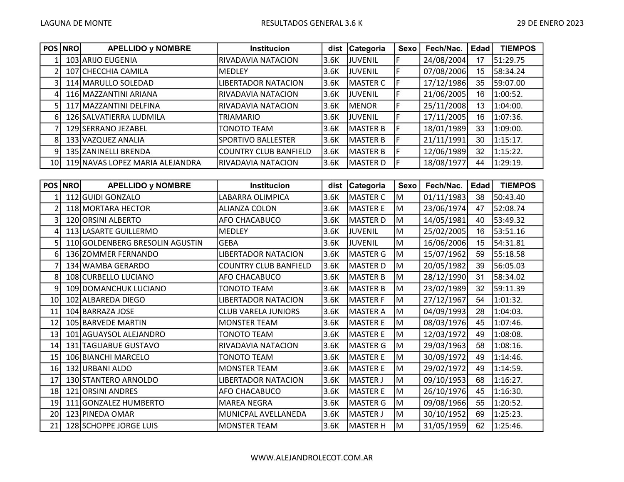|      | POS NRO | <b>APELLIDO y NOMBRE</b>        | <b>Institucion</b>         | dist  | <b>Categoria</b> | Sexo | Fech/Nac.  | Edad | <b>TIEMPOS</b> |
|------|---------|---------------------------------|----------------------------|-------|------------------|------|------------|------|----------------|
|      |         | 103 ARIJO EUGENIA               | RIVADAVIA NATACION         | 13.6K | IJUVENIL         |      | 24/08/2004 | 17   | 51:29.75       |
|      |         | 107 CHECCHIA CAMILA             | IMEDLEY                    | 13.6K | <b>JJUVENIL</b>  |      | 07/08/2006 | 15   | 58:34.24       |
|      |         | 114 MARULLO SOLEDAD             | <b>LIBERTADOR NATACION</b> | 3.6K  | MASTER C         |      | 17/12/1986 | 35   | 59:07.00       |
| 4    |         | 116 MAZZANTINI ARIANA           | RIVADAVIA NATACION         | 13.6K | JUVENIL          |      | 21/06/2005 | 16   | 1:00:52.       |
|      |         | 117 MAZZANTINI DELFINA          | RIVADAVIA NATACION         | 3.6K  | MENOR            |      | 25/11/2008 | 13   | 1:04:00.       |
| 6    |         | 126 SALVATIERRA LUDMILA         | <b>TRIAMARIO</b>           | 3.6K  | JUVENIL          |      | 17/11/2005 | 16   | 1:07:36.       |
|      |         | 129 SERRANO JEZABEL             | <b>TONOTO TEAM</b>         | 3.6K  | MASTER B         |      | 18/01/1989 | 33   | 1:09:00.       |
| 8    |         | 133 VAZQUEZ ANALIA              | SPORTIVO BALLESTER         | 3.6K  | MASTER B         |      | 21/11/1991 | 30   | 1:15:17.       |
| 9    |         | 135 ZANINELLI BRENDA            | COUNTRY CLUB BANFIELD      | 3.6K  | MASTER B         |      | 12/06/1989 | 32   | 1:15:22.       |
| 10 I |         | 119 NAVAS LOPEZ MARIA ALEJANDRA | RIVADAVIA NATACION         | 13.6K | <b>IMASTER D</b> |      | 18/08/1977 | 44   | 1:29:19.       |

|                 | POS   NRO | <b>APELLIDO y NOMBRE</b>        | <b>Institucion</b>           | dist | <b>Categoria</b> | <b>Sexo</b> | Fech/Nac.  | <b>Edad</b> | <b>TIEMPOS</b> |
|-----------------|-----------|---------------------------------|------------------------------|------|------------------|-------------|------------|-------------|----------------|
|                 |           | 112 GUIDI GONZALO               | LABARRA OLIMPICA             | 3.6K | <b>MASTER C</b>  | M           | 01/11/1983 | 38          | 50:43.40       |
| 2               |           | 118 MORTARA HECTOR              | ALIANZA COLON                | 3.6K | <b>MASTER E</b>  | M           | 23/06/1974 | 47          | 52:08.74       |
| 3               |           | 120 ORSINI ALBERTO              | AFO CHACABUCO                | 3.6K | <b>MASTER D</b>  | M           | 14/05/1981 | 40          | 53:49.32       |
| 4               |           | 113 LASARTE GUILLERMO           | <b>MEDLEY</b>                | 3.6K | <b>JUVENIL</b>   | M           | 25/02/2005 | 16          | 53:51.16       |
| 5               |           | 110 GOLDENBERG BRESOLIN AGUSTIN | GEBA                         | 3.6K | <b>JUVENIL</b>   | M           | 16/06/2006 | 15          | 54:31.81       |
| 6               |           | 136 ZOMMER FERNANDO             | LIBERTADOR NATACION          | 3.6K | <b>MASTER G</b>  | M           | 15/07/1962 | 59          | 55:18.58       |
| 7               |           | 134 WAMBA GERARDO               | <b>COUNTRY CLUB BANFIELD</b> | 3.6K | <b>MASTER D</b>  | M           | 20/05/1982 | 39          | 56:05.03       |
| 8               |           | 108 CURBELLO LUCIANO            | AFO CHACABUCO                | 3.6K | <b>MASTER B</b>  | M           | 28/12/1990 | 31          | 58:34.02       |
| 9               |           | 109 DOMANCHUK LUCIANO           | <b>TONOTO TEAM</b>           | 3.6K | <b>MASTER B</b>  | M           | 23/02/1989 | 32          | 59:11.39       |
| 10 <sub>l</sub> |           | 102 ALBAREDA DIEGO              | LIBERTADOR NATACION          | 3.6K | <b>MASTER F</b>  | M           | 27/12/1967 | 54          | 1:01:32.       |
| 11              |           | 104 BARRAZA JOSE                | <b>CLUB VARELA JUNIORS</b>   | 3.6K | <b>MASTER A</b>  | M           | 04/09/1993 | 28          | 1:04:03.       |
| 12              |           | 105 BARVEDE MARTIN              | <b>MONSTER TEAM</b>          | 3.6K | <b>MASTER E</b>  | M           | 08/03/1976 | 45          | 1:07:46.       |
| 13              |           | 101 AGUAYSOL ALEJANDRO          | TONOTO TEAM                  | 3.6K | <b>MASTER E</b>  | M           | 12/03/1972 | 49          | 1:08:08.       |
| 14              |           | 131 TAGLIABUE GUSTAVO           | RIVADAVIA NATACION           | 3.6K | <b>MASTER G</b>  | M           | 29/03/1963 | 58          | 1:08:16.       |
| 15              |           | 106 BIANCHI MARCELO             | TONOTO TEAM                  | 3.6K | <b>MASTER E</b>  | M           | 30/09/1972 | 49          | 1:14:46.       |
| 16              |           | 132 URBANI ALDO                 | <b>MONSTER TEAM</b>          | 3.6K | <b>MASTER E</b>  | M           | 29/02/1972 | 49          | 1:14:59.       |
| 17              |           | 130 STANTERO ARNOLDO            | LIBERTADOR NATACION          | 3.6K | <b>MASTER J</b>  | M           | 09/10/1953 | 68          | 1:16:27.       |
| 18              |           | 121 ORSINI ANDRES               | AFO CHACABUCO                | 3.6K | <b>MASTER E</b>  | M           | 26/10/1976 | 45          | 1:16:30.       |
| 19              |           | 111 GONZALEZ HUMBERTO           | <b>MAREA NEGRA</b>           | 3.6K | <b>MASTER G</b>  | M           | 09/08/1966 | 55          | 1:20:52.       |
| 20              |           | 123 PINEDA OMAR                 | MUNICPAL AVELLANEDA          | 3.6K | <b>MASTER J</b>  | M           | 30/10/1952 | 69          | 1:25:23.       |
| 21              |           | 128 SCHOPPE JORGE LUIS          | <b>MONSTER TEAM</b>          | 3.6K | MASTER H         | M           | 31/05/1959 | 62          | 1:25:46.       |